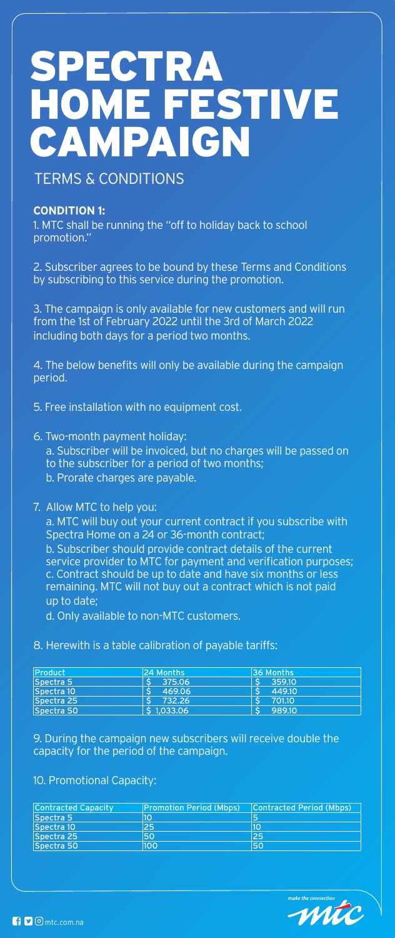

# TERMS & CONDITIONS

## **CONDITION 1:**

1. MTC shall be running the "off to holiday back to school promotion."

2. Subscriber agrees to be bound by these Terms and Conditions by subscribing to this service during the promotion.

3. The campaign is only available for new customers and will run from the 1st of February 2022 until the 3rd of March 2022 including both days for a period two months.

4. The below benefits will only be available during the campaign period.

5. Free installation with no equipment cost.

6. Two-month payment holiday:

a. Subscriber will be invoiced, but no charges will be passed on to the subscriber for a period of two months;

b. Prorate charges are payable.

## 7. Allow MTC to help you:

a. MTC will buy out your current contract if you subscribe with Spectra Home on a 24 or 36-month contract;

b. Subscriber should provide contract details of the current service provider to MTC for payment and verification purposes; c. Contract should be up to date and have six months or less remaining. MTC will not buy out a contract which is not paid up to date;

d. Only available to non-MTC customers.

# 8. Herewith is a table calibration of payable tariffs:

| <b>Product</b> | 24 Months | <b>36 Months</b> |
|----------------|-----------|------------------|
| Spectra 5      | 375.06    | 359.10           |
| Spectra 10     | 469.06    | 449.10           |
| Spectra 25     | 732.26    | 701.10           |
| Spectra 50     | 51,033.06 | 989.10           |

9. During the campaign new subscribers will receive double the capacity for the period of the campaign.

# 10. Promotional Capacity:

| <b>Contracted Capacity</b> | <b>Promotion Period (Mbps)</b> | Contracted Period (Mbps) |
|----------------------------|--------------------------------|--------------------------|
| Spectra 5                  | 10                             |                          |
| Spectra 10                 | 25                             |                          |
| Spectra 25                 | 50                             | 25                       |
| Spectra 50                 | 100                            | 50                       |

make the connection



# SPECTRA HOME FSTIVE CAMPAIGN